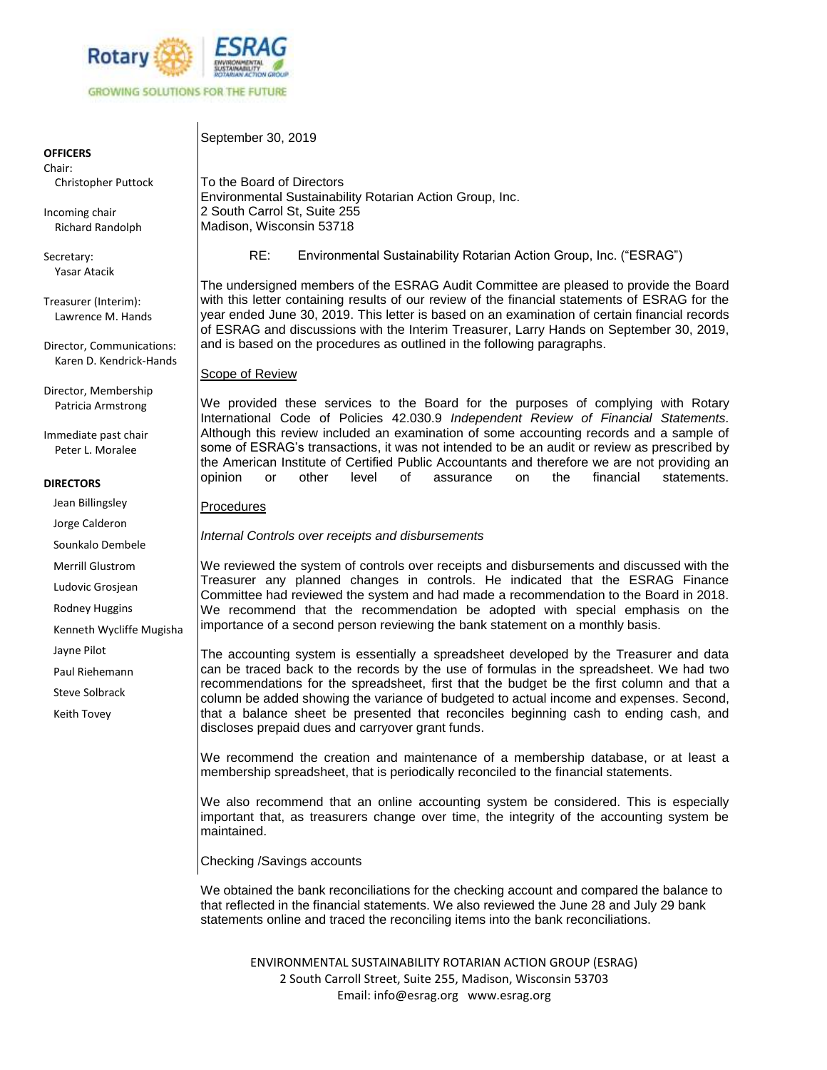

**OFFICERS**

Chair: Christopher Puttock

Incoming chair Richard Randolph

Secretary: Yasar Atacik

Treasurer (Interim): Lawrence M. Hands

Director, Communications: Karen D. Kendrick-Hands

Director, Membership Patricia Armstrong

Immediate past chair Peter L. Moralee

# **DIRECTORS**

Jean Billingsley

Jorge Calderon

Sounkalo Dembele

Merrill Glustrom

Ludovic Grosjean

Rodney Huggins

Kenneth Wycliffe Mugisha

Jayne Pilot

Paul Riehemann

Steve Solbrack

Keith Tovey

To the Board of Directors Environmental Sustainability Rotarian Action Group, Inc. 2 South Carrol St, Suite 255 Madison, Wisconsin 53718

RE: Environmental Sustainability Rotarian Action Group, Inc. ("ESRAG")

The undersigned members of the ESRAG Audit Committee are pleased to provide the Board with this letter containing results of our review of the financial statements of ESRAG for the year ended June 30, 2019. This letter is based on an examination of certain financial records of ESRAG and discussions with the Interim Treasurer, Larry Hands on September 30, 2019, and is based on the procedures as outlined in the following paragraphs.

Scope of Review

September 30, 2019

We provided these services to the Board for the purposes of complying with Rotary International Code of Policies 42.030.9 *Independent Review of Financial Statements.* Although this review included an examination of some accounting records and a sample of some of ESRAG's transactions, it was not intended to be an audit or review as prescribed by the American Institute of Certified Public Accountants and therefore we are not providing an opinion or other level of assurance on the financial statements.

**Procedures** 

*Internal Controls over receipts and disbursements*

We reviewed the system of controls over receipts and disbursements and discussed with the Treasurer any planned changes in controls. He indicated that the ESRAG Finance Committee had reviewed the system and had made a recommendation to the Board in 2018. We recommend that the recommendation be adopted with special emphasis on the importance of a second person reviewing the bank statement on a monthly basis.

The accounting system is essentially a spreadsheet developed by the Treasurer and data can be traced back to the records by the use of formulas in the spreadsheet. We had two recommendations for the spreadsheet, first that the budget be the first column and that a column be added showing the variance of budgeted to actual income and expenses. Second, that a balance sheet be presented that reconciles beginning cash to ending cash, and discloses prepaid dues and carryover grant funds.

We recommend the creation and maintenance of a membership database, or at least a membership spreadsheet, that is periodically reconciled to the financial statements.

We also recommend that an online accounting system be considered. This is especially important that, as treasurers change over time, the integrity of the accounting system be maintained.

Checking /Savings accounts

We obtained the bank reconciliations for the checking account and compared the balance to that reflected in the financial statements. We also reviewed the June 28 and July 29 bank statements online and traced the reconciling items into the bank reconciliations.

ENVIRONMENTAL SUSTAINABILITY ROTARIAN ACTION GROUP (ESRAG) 2 South Carroll Street, Suite 255, Madison, Wisconsin 53703 Email: info@esrag.org www.esrag.org